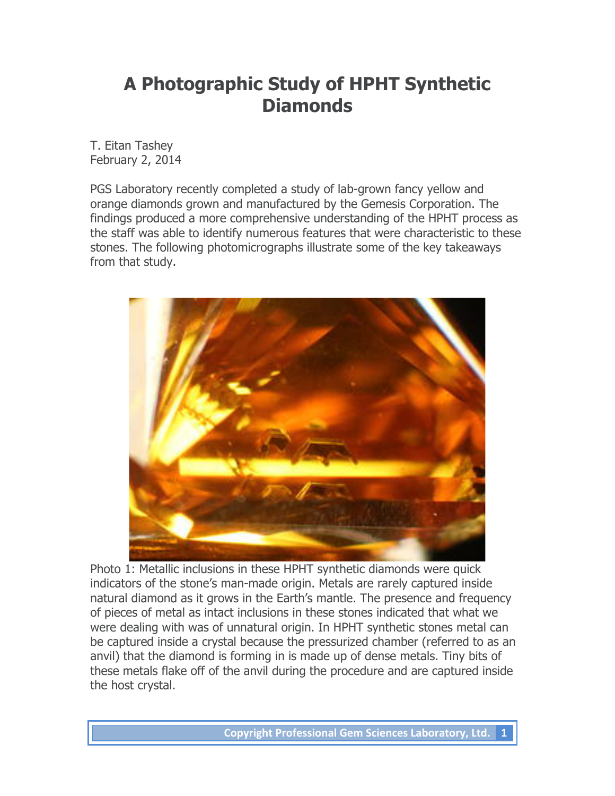## **A Photographic Study of HPHT Synthetic Diamonds**

T. Eitan Tashey February 2, 2014

PGS Laboratory recently completed a study of lab-grown fancy yellow and orange diamonds grown and manufactured by the Gemesis Corporation. The findings produced a more comprehensive understanding of the HPHT process as the staff was able to identify numerous features that were characteristic to these stones. The following photomicrographs illustrate some of the key takeaways from that study.



Photo 1: Metallic inclusions in these HPHT synthetic diamonds were quick indicators of the stone's man-made origin. Metals are rarely captured inside natural diamond as it grows in the Earth's mantle. The presence and frequency of pieces of metal as intact inclusions in these stones indicated that what we were dealing with was of unnatural origin. In HPHT synthetic stones metal can be captured inside a crystal because the pressurized chamber (referred to as an anvil) that the diamond is forming in is made up of dense metals. Tiny bits of these metals flake off of the anvil during the procedure and are captured inside the host crystal.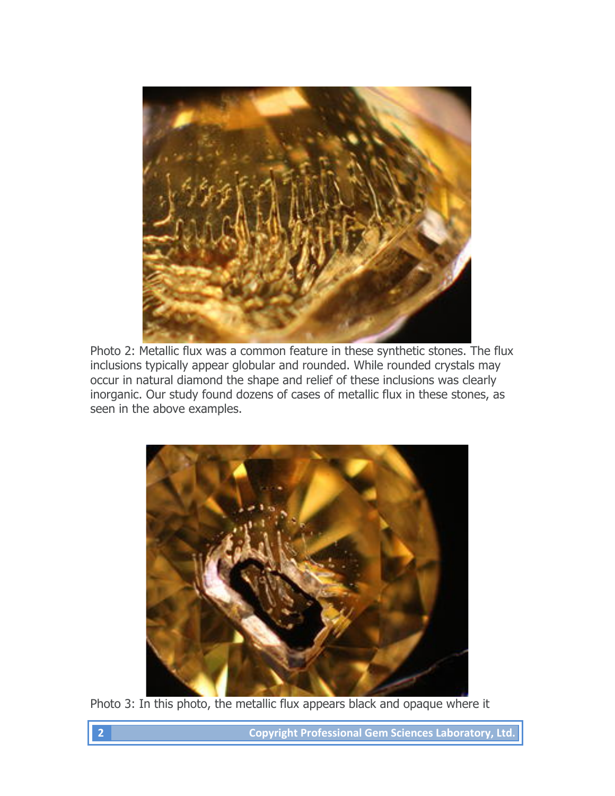

Photo 2: Metallic flux was a common feature in these synthetic stones. The flux inclusions typically appear globular and rounded. While rounded crystals may occur in natural diamond the shape and relief of these inclusions was clearly inorganic. Our study found dozens of cases of metallic flux in these stones, as seen in the above examples.



Photo 3: In this photo, the metallic flux appears black and opaque where it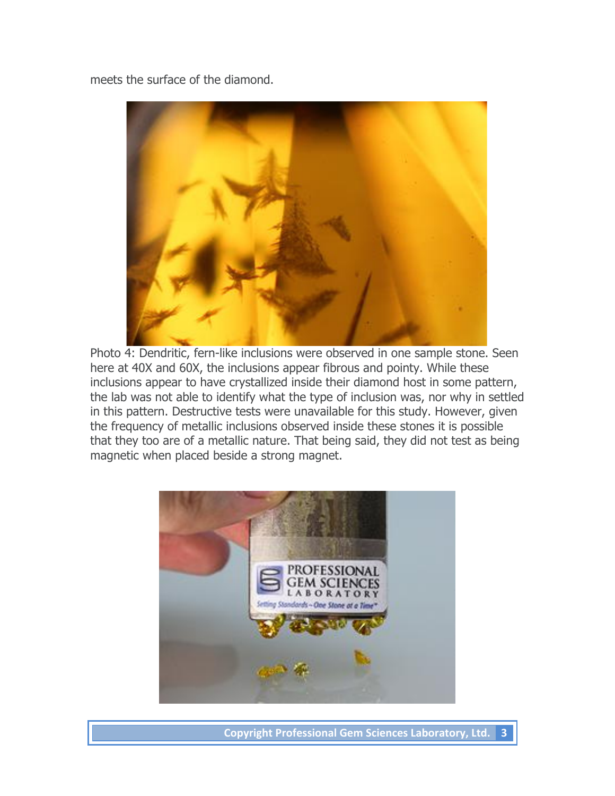meets the surface of the diamond.



Photo 4: Dendritic, fern-like inclusions were observed in one sample stone. Seen here at 40X and 60X, the inclusions appear fibrous and pointy. While these inclusions appear to have crystallized inside their diamond host in some pattern, the lab was not able to identify what the type of inclusion was, nor why in settled in this pattern. Destructive tests were unavailable for this study. However, given the frequency of metallic inclusions observed inside these stones it is possible that they too are of a metallic nature. That being said, they did not test as being magnetic when placed beside a strong magnet.



**Copyright Professional Gem Sciences Laboratory, Ltd.** 3